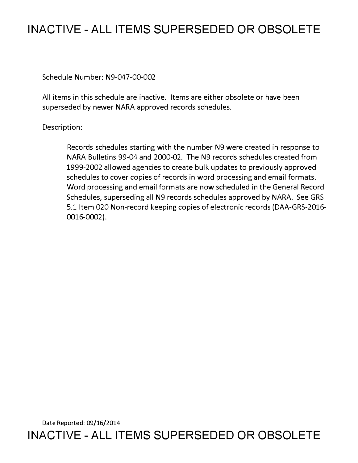# **INACTIVE - ALL ITEMS SUPERSEDED OR OBSOLETE**

Schedule Number: N9-047-00-002

All items in this schedule are inactive. Items are either obsolete or have been superseded by newer NARA approved records schedules.

## Description:

Records schedules starting with the number N9 were created in response to NARA Bulletins 99-04 and 2000-02. The N9 records schedules created from 1999-2002 allowed agencies to create bulk updates to previously approved schedules to cover copies of records in word processing and email formats. Word processing and email formats are now scheduled in the General Record Schedules, superseding all N9 records schedules approved by NARA. See GRS 5.1 Item 020 Non-record keeping copies of electronic records (DAA-GRS-2016- 0016-0002).

Date Reported: 09/16/2014 **INACTIVE - ALL ITEMS SUPERSEDED OR OBSOLETE**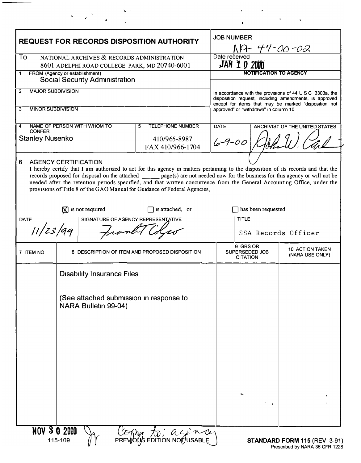| <b>REQUEST FOR RECORDS DISPOSITION AUTHORITY</b><br>To<br>NATIONAL ARCHIVES & RECORDS ADMINISTRATION<br>8601 ADELPHI ROAD COLLEGE PARK, MD 20740-6001 |                                                                                                                                                                                                                                                                                                                                                                                                                                                                                                               |                                                                  | <b>JOB NUMBER</b><br>NA-47- <u>00-02</u><br>Date received<br><b>JAN 10 2000</b>                                                                                                                                               |                    |                                    |
|-------------------------------------------------------------------------------------------------------------------------------------------------------|---------------------------------------------------------------------------------------------------------------------------------------------------------------------------------------------------------------------------------------------------------------------------------------------------------------------------------------------------------------------------------------------------------------------------------------------------------------------------------------------------------------|------------------------------------------------------------------|-------------------------------------------------------------------------------------------------------------------------------------------------------------------------------------------------------------------------------|--------------------|------------------------------------|
|                                                                                                                                                       |                                                                                                                                                                                                                                                                                                                                                                                                                                                                                                               |                                                                  |                                                                                                                                                                                                                               |                    |                                    |
| <b>MAJOR SUBDIVISION</b><br>$\mathbf{2}$<br><b>MINOR SUBDIVISION</b><br>3                                                                             |                                                                                                                                                                                                                                                                                                                                                                                                                                                                                                               |                                                                  | In accordance with the provisions of $44 \cup S \cup C$ 3303a, the<br>disposition request, including amendments, is approved<br>except for items that may be marked "disposition not<br>approved" or "withdrawn" in column 10 |                    |                                    |
| NAME OF PERSON WITH WHOM TO<br>4<br><b>CONFER</b><br><b>Stanley Nusenko</b>                                                                           |                                                                                                                                                                                                                                                                                                                                                                                                                                                                                                               | <b>TELEPHONE NUMBER</b><br>5<br>410/965-8987<br>FAX 410/966-1704 | <b>DATE</b><br>$6 - 9 - 00$                                                                                                                                                                                                   |                    | ARCHIVIST OF THE UNITED STATES     |
| 6                                                                                                                                                     | <b>AGENCY CERTIFICATION</b><br>I hereby certify that I am authorized to act for this agency in matters pertaining to the disposition of its records and that the<br>records proposed for disposal on the attached _______ page(s) are not needed now for the business for this agency or will not be<br>needed after the retention periods specified, and that written concurrence from the General Accounting Office, under the<br>provisions of Title 8 of the GAO Manual for Guidance of Federal Agencies, |                                                                  |                                                                                                                                                                                                                               |                    |                                    |
|                                                                                                                                                       | $\boxtimes$ is not required                                                                                                                                                                                                                                                                                                                                                                                                                                                                                   | $\Box$ is attached, or                                           |                                                                                                                                                                                                                               | has been requested |                                    |
| <b>DATE</b><br>SIGNATURE OF AGENCY REPRESENTATIVE<br>11/23/99                                                                                         |                                                                                                                                                                                                                                                                                                                                                                                                                                                                                                               |                                                                  | TITLE<br>SSA Records Officer                                                                                                                                                                                                  |                    |                                    |
| 7 ITEM NO                                                                                                                                             | 8 DESCRIPTION OF ITEM AND PROPOSED DISPOSITION                                                                                                                                                                                                                                                                                                                                                                                                                                                                |                                                                  | 9 GRS OR<br>SUPERSEDED JOB<br><b>CITATION</b>                                                                                                                                                                                 |                    | 10 ACTION TAKEN<br>(NARA USE ONLY) |
|                                                                                                                                                       | <b>Disability Insurance Files</b>                                                                                                                                                                                                                                                                                                                                                                                                                                                                             |                                                                  |                                                                                                                                                                                                                               |                    |                                    |
|                                                                                                                                                       | (See attached submission in response to<br>NARA Bulletin 99-04)                                                                                                                                                                                                                                                                                                                                                                                                                                               |                                                                  |                                                                                                                                                                                                                               |                    |                                    |
|                                                                                                                                                       |                                                                                                                                                                                                                                                                                                                                                                                                                                                                                                               |                                                                  |                                                                                                                                                                                                                               |                    |                                    |
| <b>NOV 3 0 2000</b>                                                                                                                                   | 115-109                                                                                                                                                                                                                                                                                                                                                                                                                                                                                                       | Comp to: acency                                                  |                                                                                                                                                                                                                               |                    | STANDARD FORM 115 (REV 3-91)       |

 $\overline{\phantom{0}}$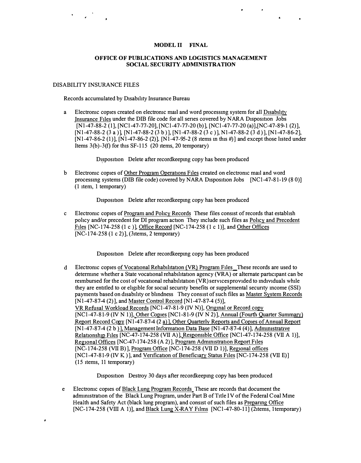#### MODEL II FINAL

 $\mathcal{L}_{\mathcal{A}}$ 

#### OFFICE OF PUBLICATIONS AND LOGISTICS MANAGEMENT SOCIAL SECURITY ADMINISTRATION

#### DISABILITY INSURANCE FILES

 $\mathcal{L}(\mathcal{L})$ 

Records accumulated by Disability Insurance Bureau

a Electromc copies created on electromc mad and word processmg system for all Disability Insurance Files under the DIB file code for all series covered by NARA Disposition Jobs [N<sub>1</sub>-47-88-2 (1], [NC<sub>1</sub>-47-77-20], [NC<sub>1</sub>-47-77-20 (b)], [NC<sub>1</sub>-47-77-20 (a)], [NC-47-89-1 (2)],  $[N1-47-88-2(3 a)], [N1-47-88-2(3 b)], [N1-47-88-2(3 c)], N1-47-88-2(3 d)], [N1-47-86-2],$  $[N1-47-86-2 (1)], [N1-47-86-2 (2)], [N1-47-95-2 (8 items in this #)]$  and except those listed under Items  $3(b) - 3(f)$  for this SF-115 (20 items, 20 temporary)

Disposition Delete after recordkeeping copy has been produced

b Electronic copies of Other Program Operations Files created on electronic mail and word processing systems (DIB file code) covered by NARA Disposition Jobs [NCl-47-81-19 (80)] (1 item, 1 temporary)

Disposition Delete after recordkeepmg copy has been produced

c Electromc copies of Program and Pohcy Records These files consist of records that establish pohcy and/or precedent for DI program action They mclude such files as Pohcy and Precedent Files [NC-174-258 (1 c )], Office Record [NC-174-258 (1 c 1)], and Other Offices [NC-174-258 (1 c 2)], (31 tems, 2 temporary)

Disposition Delete after recordkeepmg copy has been produced

d Electronic copies of Vocational Rehabilitation (VR) Program Files These records are used to determme whether a State vocational rehabilitation agency (VRA) or alternate participant can be reimbursed for the cost of vocational rehabilitation (VR) services provided to mdividuals while they are entitled to or eligible for social secunty benefits or supplemental secunty mcome (SSI) payments based on disability or blmdness They consist of such files as Master System Records [Nl-47-87-4 (2)], and Master Control Record [Nl-47-87-4 (5)], VR Refusal Workload Records [NCl-47-81-9 (IV N)], Original or Record copy [NCl-47- 81-9 *(N* N 1)), Other Copies [NCl- 81-9 ( IV N 2)), Annual *(Fourth* Quarter Summary) Report Record Copy [N1-47-87-4 (2 a)], Other Quarterly Reports and Copies of Annual Report  $[N1-47-87-4 (2 b)]$ , Management Information Data Base  $[N1-47-87-4 (4)]$ , Administrative Relationship Files [NC-47-174-258 (VII A)], Responsible Office [NCl-47-174-258 (VII A 1)], Regional Offices [NC-47-174-25 8 (A 2) ], Program Admmistratton Report Files [NC-174-25 8 (VII B)], Program Office [NC-174-25 8 (VII D 1)), Regional offices [NCl-47-81-9 (IV K )], and Verification of Beneficiary Status Files [NC-174-258 (VII E)] (15 items, 11 temporary)

Disposition Destroy 30 days after recordkeepmg copy has been produced

e Electromc copies of Black Lung Program Records These are records that document the admmistratton of the Black Lung Program, under Part B of Title IV of the Federal Coal Mme Health and Safety Act (black lung program), and consist of such files as Prepanng Office [NC-174-258 (VIII A 1)], and Black Lung X-RAY Films [NCl-47-80-11] (2items, 1temporary)